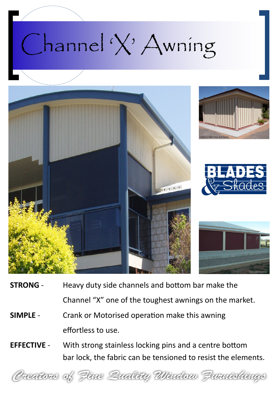## Channel 'X' Awning



- **STRONG** Heavy duty side channels and bottom bar make the Channel "X" one of the toughest awnings on the market.
- **SIMPLE** Crank or Motorised operation make this awning effortless to use.
- **EFFECTIVE** With strong stainless locking pins and a centre bottom bar lock, the fabric can be tensioned to resist the elements.